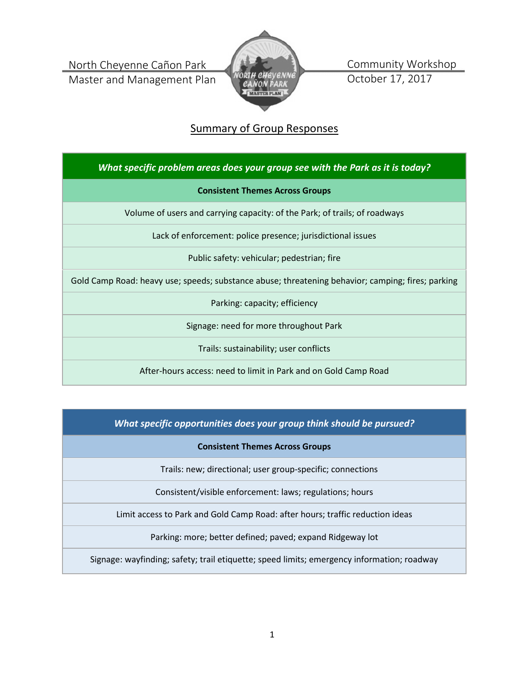North Cheyenne Cañon Park

Master and Management Plan



Community Workshop October 17, 2017

# Summary of Group Responses

*What specific problem areas does your group see with the Park as it is today?*

## **Consistent Themes Across Groups**

Volume of users and carrying capacity: of the Park; of trails; of roadways

Lack of enforcement: police presence; jurisdictional issues

Public safety: vehicular; pedestrian; fire

Gold Camp Road: heavy use; speeds; substance abuse; threatening behavior; camping; fires; parking

Parking: capacity; efficiency

Signage: need for more throughout Park

Trails: sustainability; user conflicts

After-hours access: need to limit in Park and on Gold Camp Road

*What specific opportunities does your group think should be pursued?*

**Consistent Themes Across Groups**

Trails: new; directional; user group-specific; connections

Consistent/visible enforcement: laws; regulations; hours

Limit access to Park and Gold Camp Road: after hours; traffic reduction ideas

Parking: more; better defined; paved; expand Ridgeway lot

Signage: wayfinding; safety; trail etiquette; speed limits; emergency information; roadway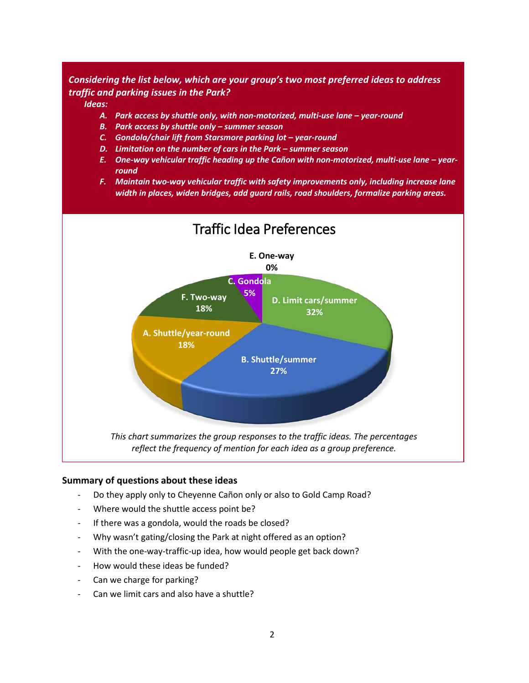# *Considering the list below, which are your group's two most preferred ideas to address traffic and parking issues in the Park?*

*Ideas:*

- *A. Park access by shuttle only, with non-motorized, multi-use lane – year-round*
- *B. Park access by shuttle only – summer season*
- *C. Gondola/chair lift from Starsmore parking lot – year-round*
- *D. Limitation on the number of cars in the Park – summer season*
- *E. One-way vehicular traffic heading up the Cañon with non-motorized, multi-use lane – yearround*
- *F. Maintain two-way vehicular traffic with safety improvements only, including increase lane width in places, widen bridges, add guard rails, road shoulders, formalize parking areas.*



#### **Summary of questions about these ideas**

- Do they apply only to Cheyenne Cañon only or also to Gold Camp Road?
- Where would the shuttle access point be?
- If there was a gondola, would the roads be closed?
- Why wasn't gating/closing the Park at night offered as an option?
- With the one-way-traffic-up idea, how would people get back down?
- How would these ideas be funded?
- Can we charge for parking?
- Can we limit cars and also have a shuttle?